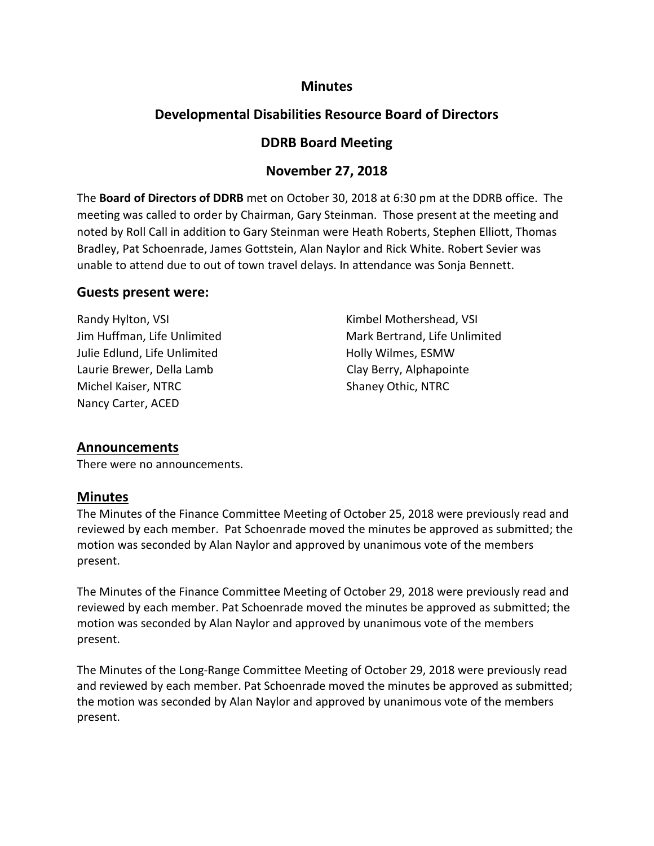### **Minutes**

# **Developmental Disabilities Resource Board of Directors**

### **DDRB Board Meeting**

### **November 27, 2018**

The **Board of Directors of DDRB** met on October 30, 2018 at 6:30 pm at the DDRB office. The meeting was called to order by Chairman, Gary Steinman. Those present at the meeting and noted by Roll Call in addition to Gary Steinman were Heath Roberts, Stephen Elliott, Thomas Bradley, Pat Schoenrade, James Gottstein, Alan Naylor and Rick White. Robert Sevier was unable to attend due to out of town travel delays. In attendance was Sonja Bennett.

### **Guests present were:**

Randy Hylton, VSI **Randy Hylton, VSI Kimbel Mothershead, VSI** Julie Edlund, Life Unlimited Holly Wilmes, ESMW Laurie Brewer, Della Lamb Clay Berry, Alphapointe Michel Kaiser, NTRC Shaney Othic, NTRC Nancy Carter, ACED

Jim Huffman, Life Unlimited Mark Bertrand, Life Unlimited

### **Announcements**

There were no announcements.

### **Minutes**

The Minutes of the Finance Committee Meeting of October 25, 2018 were previously read and reviewed by each member. Pat Schoenrade moved the minutes be approved as submitted; the motion was seconded by Alan Naylor and approved by unanimous vote of the members present.

The Minutes of the Finance Committee Meeting of October 29, 2018 were previously read and reviewed by each member. Pat Schoenrade moved the minutes be approved as submitted; the motion was seconded by Alan Naylor and approved by unanimous vote of the members present.

The Minutes of the Long-Range Committee Meeting of October 29, 2018 were previously read and reviewed by each member. Pat Schoenrade moved the minutes be approved as submitted; the motion was seconded by Alan Naylor and approved by unanimous vote of the members present.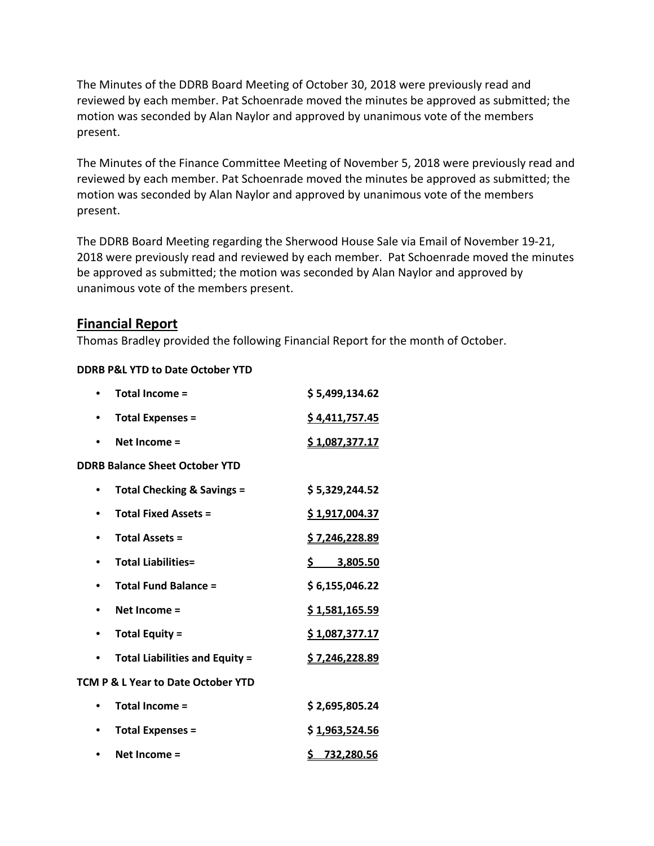The Minutes of the DDRB Board Meeting of October 30, 2018 were previously read and reviewed by each member. Pat Schoenrade moved the minutes be approved as submitted; the motion was seconded by Alan Naylor and approved by unanimous vote of the members present.

The Minutes of the Finance Committee Meeting of November 5, 2018 were previously read and reviewed by each member. Pat Schoenrade moved the minutes be approved as submitted; the motion was seconded by Alan Naylor and approved by unanimous vote of the members present.

The DDRB Board Meeting regarding the Sherwood House Sale via Email of November 19-21, 2018 were previously read and reviewed by each member. Pat Schoenrade moved the minutes be approved as submitted; the motion was seconded by Alan Naylor and approved by unanimous vote of the members present.

### **Financial Report**

Thomas Bradley provided the following Financial Report for the month of October.

### **DDRB P&L YTD to Date October YTD**

|                                               | Total Income =                        | \$5,499,134.62         |  |
|-----------------------------------------------|---------------------------------------|------------------------|--|
|                                               | <b>Total Expenses =</b>               | \$4,411,757.45         |  |
|                                               | Net Income =                          | \$1,087,377.17         |  |
| <b>DDRB Balance Sheet October YTD</b>         |                                       |                        |  |
|                                               | <b>Total Checking &amp; Savings =</b> | \$5,329,244.52         |  |
|                                               | <b>Total Fixed Assets =</b>           | \$1,917,004.37         |  |
|                                               | <b>Total Assets =</b>                 | <u>\$7,246,228.89</u>  |  |
|                                               | <b>Total Liabilities=</b>             | $\frac{5}{2}$ 3,805.50 |  |
| ٠                                             | <b>Total Fund Balance =</b>           | \$6,155,046.22         |  |
|                                               | Net Income =                          | \$1,581,165.59         |  |
|                                               | <b>Total Equity =</b>                 | \$1,087,377.17         |  |
|                                               | <b>Total Liabilities and Equity =</b> | <u>\$7,246,228.89</u>  |  |
| <b>TCM P &amp; L Year to Date October YTD</b> |                                       |                        |  |
|                                               | <b>Total Income =</b>                 | \$2,695,805.24         |  |
|                                               | <b>Total Expenses =</b>               | \$1,963,524.56         |  |
|                                               | Net Income =                          | \$732,280.56           |  |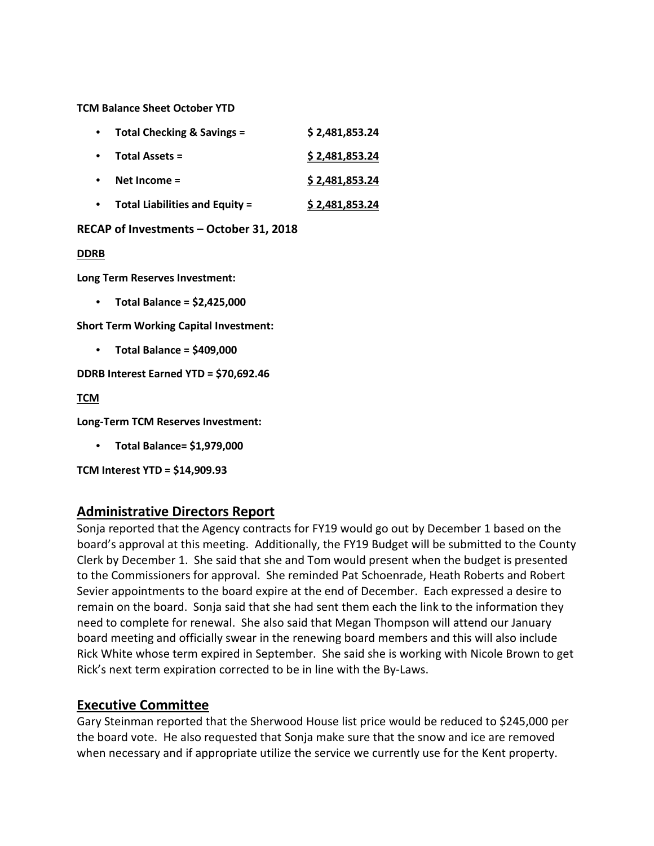**TCM Balance Sheet October YTD**

| $\bullet$ | <b>Total Checking &amp; Savings =</b> | \$2,481,853.24 |
|-----------|---------------------------------------|----------------|
| $\bullet$ | <b>Total Assets =</b>                 | \$2,481,853.24 |
| $\bullet$ | Net Income $=$                        | \$2,481,853.24 |
| $\bullet$ | <b>Total Liabilities and Equity =</b> | \$2,481,853.24 |

#### **RECAP of Investments – October 31, 2018**

#### **DDRB**

**Long Term Reserves Investment:**

• **Total Balance = \$2,425,000**

**Short Term Working Capital Investment:** 

• **Total Balance = \$409,000**

**DDRB Interest Earned YTD = \$70,692.46**

**TCM**

**Long-Term TCM Reserves Investment:**

• **Total Balance= \$1,979,000**

**TCM Interest YTD = \$14,909.93**

### **Administrative Directors Report**

Sonja reported that the Agency contracts for FY19 would go out by December 1 based on the board's approval at this meeting. Additionally, the FY19 Budget will be submitted to the County Clerk by December 1. She said that she and Tom would present when the budget is presented to the Commissioners for approval. She reminded Pat Schoenrade, Heath Roberts and Robert Sevier appointments to the board expire at the end of December. Each expressed a desire to remain on the board. Sonja said that she had sent them each the link to the information they need to complete for renewal. She also said that Megan Thompson will attend our January board meeting and officially swear in the renewing board members and this will also include Rick White whose term expired in September. She said she is working with Nicole Brown to get Rick's next term expiration corrected to be in line with the By-Laws.

### **Executive Committee**

Gary Steinman reported that the Sherwood House list price would be reduced to \$245,000 per the board vote. He also requested that Sonja make sure that the snow and ice are removed when necessary and if appropriate utilize the service we currently use for the Kent property.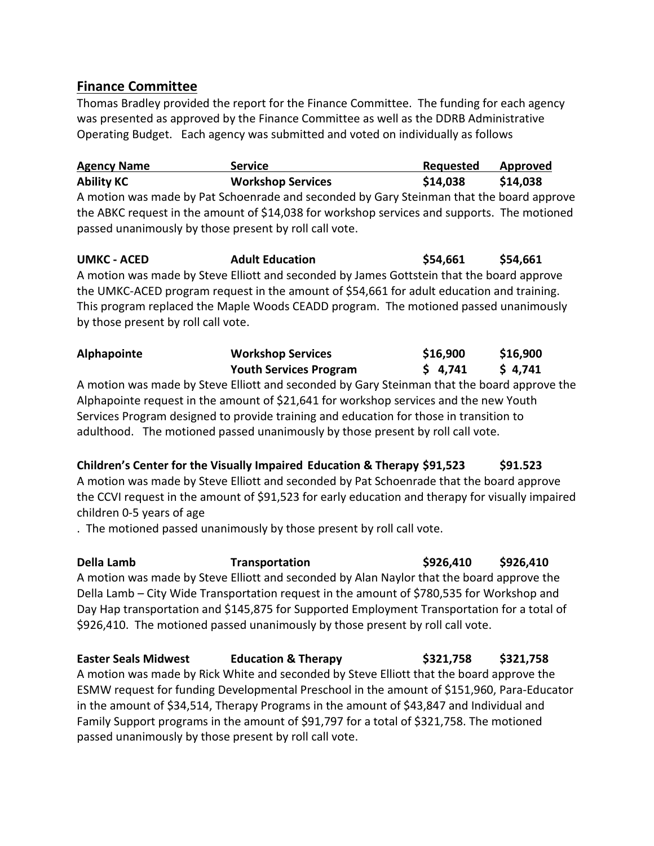### **Finance Committee**

Thomas Bradley provided the report for the Finance Committee. The funding for each agency was presented as approved by the Finance Committee as well as the DDRB Administrative Operating Budget. Each agency was submitted and voted on individually as follows

**Agency Name Service Requested Approved Ability KC Workshop Services \$14,038 \$14,038** A motion was made by Pat Schoenrade and seconded by Gary Steinman that the board approve the ABKC request in the amount of \$14,038 for workshop services and supports. The motioned passed unanimously by those present by roll call vote.

**UMKC - ACED Adult Education \$54,661 \$54,661** A motion was made by Steve Elliott and seconded by James Gottstein that the board approve the UMKC-ACED program request in the amount of \$54,661 for adult education and training. This program replaced the Maple Woods CEADD program. The motioned passed unanimously by those present by roll call vote.

| <b>Alphapointe</b> | <b>Workshop Services</b>      | \$16,900 | \$16,900 |
|--------------------|-------------------------------|----------|----------|
|                    | <b>Youth Services Program</b> | \$4,741  | \$4,741  |

A motion was made by Steve Elliott and seconded by Gary Steinman that the board approve the Alphapointe request in the amount of \$21,641 for workshop services and the new Youth Services Program designed to provide training and education for those in transition to adulthood. The motioned passed unanimously by those present by roll call vote.

**Children's Center for the Visually Impaired Education & Therapy \$91,523 \$91.523** A motion was made by Steve Elliott and seconded by Pat Schoenrade that the board approve the CCVI request in the amount of \$91,523 for early education and therapy for visually impaired children 0-5 years of age

. The motioned passed unanimously by those present by roll call vote.

**Della Lamb Transportation \$926,410 \$926,410** A motion was made by Steve Elliott and seconded by Alan Naylor that the board approve the Della Lamb – City Wide Transportation request in the amount of \$780,535 for Workshop and Day Hap transportation and \$145,875 for Supported Employment Transportation for a total of \$926,410. The motioned passed unanimously by those present by roll call vote.

## **Easter Seals Midwest Education & Therapy \$321,758 \$321,758**

A motion was made by Rick White and seconded by Steve Elliott that the board approve the ESMW request for funding Developmental Preschool in the amount of \$151,960, Para-Educator in the amount of \$34,514, Therapy Programs in the amount of \$43,847 and Individual and Family Support programs in the amount of \$91,797 for a total of \$321,758. The motioned passed unanimously by those present by roll call vote.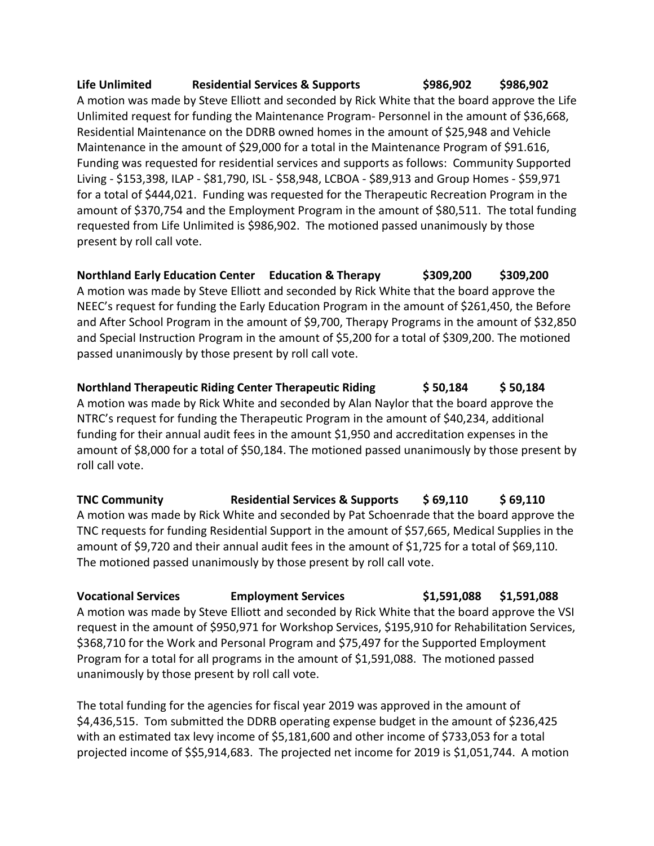### **Life Unlimited Residential Services & Supports \$986,902 \$986,902**

A motion was made by Steve Elliott and seconded by Rick White that the board approve the Life Unlimited request for funding the Maintenance Program- Personnel in the amount of \$36,668, Residential Maintenance on the DDRB owned homes in the amount of \$25,948 and Vehicle Maintenance in the amount of \$29,000 for a total in the Maintenance Program of \$91.616, Funding was requested for residential services and supports as follows: Community Supported Living - \$153,398, ILAP - \$81,790, ISL - \$58,948, LCBOA - \$89,913 and Group Homes - \$59,971 for a total of \$444,021. Funding was requested for the Therapeutic Recreation Program in the amount of \$370,754 and the Employment Program in the amount of \$80,511. The total funding requested from Life Unlimited is \$986,902. The motioned passed unanimously by those present by roll call vote.

**Northland Early Education Center Education & Therapy \$309,200 \$309,200** A motion was made by Steve Elliott and seconded by Rick White that the board approve the NEEC's request for funding the Early Education Program in the amount of \$261,450, the Before and After School Program in the amount of \$9,700, Therapy Programs in the amount of \$32,850 and Special Instruction Program in the amount of \$5,200 for a total of \$309,200. The motioned passed unanimously by those present by roll call vote.

**Northland Therapeutic Riding Center Therapeutic Riding \$ 50,184 \$ 50,184** A motion was made by Rick White and seconded by Alan Naylor that the board approve the NTRC's request for funding the Therapeutic Program in the amount of \$40,234, additional funding for their annual audit fees in the amount \$1,950 and accreditation expenses in the amount of \$8,000 for a total of \$50,184. The motioned passed unanimously by those present by roll call vote.

**TNC Community Residential Services & Supports \$ 69,110 \$ 69,110** A motion was made by Rick White and seconded by Pat Schoenrade that the board approve the TNC requests for funding Residential Support in the amount of \$57,665, Medical Supplies in the amount of \$9,720 and their annual audit fees in the amount of \$1,725 for a total of \$69,110. The motioned passed unanimously by those present by roll call vote.

**Vocational Services Employment Services \$1,591,088 \$1,591,088** A motion was made by Steve Elliott and seconded by Rick White that the board approve the VSI request in the amount of \$950,971 for Workshop Services, \$195,910 for Rehabilitation Services, \$368,710 for the Work and Personal Program and \$75,497 for the Supported Employment Program for a total for all programs in the amount of \$1,591,088. The motioned passed unanimously by those present by roll call vote.

The total funding for the agencies for fiscal year 2019 was approved in the amount of \$4,436,515. Tom submitted the DDRB operating expense budget in the amount of \$236,425 with an estimated tax levy income of \$5,181,600 and other income of \$733,053 for a total projected income of \$\$5,914,683. The projected net income for 2019 is \$1,051,744. A motion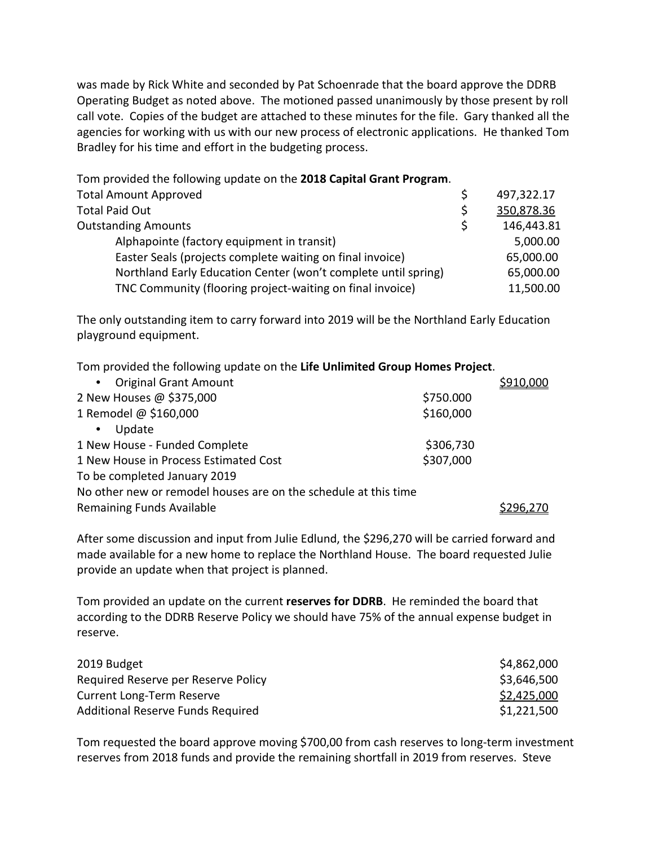was made by Rick White and seconded by Pat Schoenrade that the board approve the DDRB Operating Budget as noted above. The motioned passed unanimously by those present by roll call vote. Copies of the budget are attached to these minutes for the file. Gary thanked all the agencies for working with us with our new process of electronic applications. He thanked Tom Bradley for his time and effort in the budgeting process.

Tom provided the following update on the **2018 Capital Grant Program**. Total Amount Approved **Example 2018** S 497,322.17 Total Paid Out **1998**<br>
Outstanding Amounts **1998**<br>
Outstanding Amounts **1998** Outstanding Amounts **but a straight a straight and the straight of the straight of the straight of the straight of the straight of the straight of the straight of the straight of the straight of the straight of the straigh** Alphapointe (factory equipment in transit) 5,000.00 Easter Seals (projects complete waiting on final invoice) 65,000.00 Northland Early Education Center (won't complete until spring) 65,000.00 TNC Community (flooring project-waiting on final invoice) 11,500.00

The only outstanding item to carry forward into 2019 will be the Northland Early Education playground equipment.

Tom provided the following update on the **Life Unlimited Group Homes Project**.

| • Original Grant Amount                                         |           | \$910,000 |  |
|-----------------------------------------------------------------|-----------|-----------|--|
| 2 New Houses @ \$375,000                                        | \$750.000 |           |  |
| 1 Remodel @ \$160,000                                           | \$160,000 |           |  |
| Update<br>$\bullet$                                             |           |           |  |
| 1 New House - Funded Complete                                   | \$306,730 |           |  |
| 1 New House in Process Estimated Cost                           | \$307,000 |           |  |
| To be completed January 2019                                    |           |           |  |
| No other new or remodel houses are on the schedule at this time |           |           |  |
| <b>Remaining Funds Available</b>                                |           |           |  |

After some discussion and input from Julie Edlund, the \$296,270 will be carried forward and made available for a new home to replace the Northland House. The board requested Julie provide an update when that project is planned.

Tom provided an update on the current **reserves for DDRB**. He reminded the board that according to the DDRB Reserve Policy we should have 75% of the annual expense budget in reserve.

| 2019 Budget                         | \$4,862,000 |
|-------------------------------------|-------------|
| Required Reserve per Reserve Policy | \$3,646,500 |
| Current Long-Term Reserve           | \$2,425,000 |
| Additional Reserve Funds Required   | \$1,221,500 |

Tom requested the board approve moving \$700,00 from cash reserves to long-term investment reserves from 2018 funds and provide the remaining shortfall in 2019 from reserves. Steve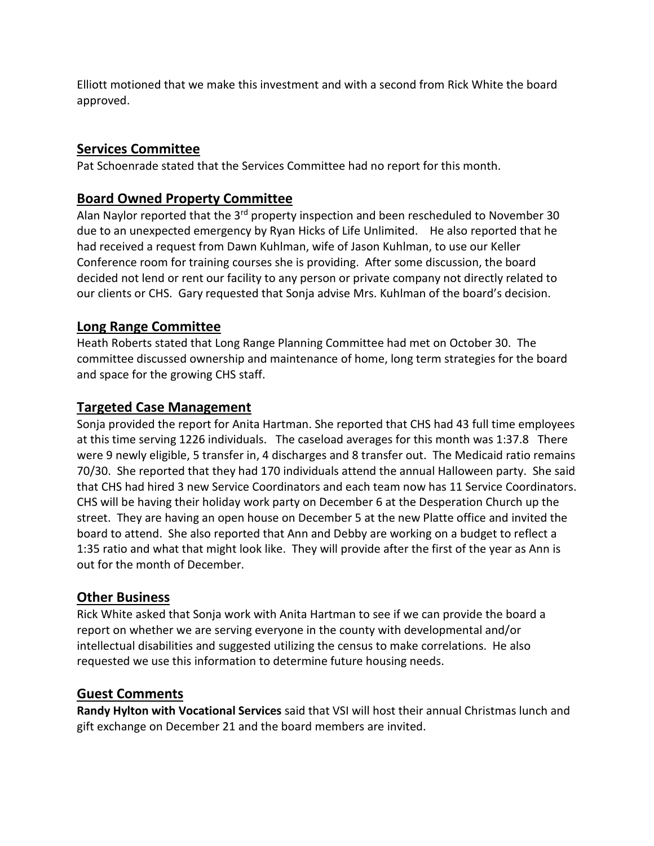Elliott motioned that we make this investment and with a second from Rick White the board approved.

# **Services Committee**

Pat Schoenrade stated that the Services Committee had no report for this month.

# **Board Owned Property Committee**

Alan Naylor reported that the 3<sup>rd</sup> property inspection and been rescheduled to November 30 due to an unexpected emergency by Ryan Hicks of Life Unlimited. He also reported that he had received a request from Dawn Kuhlman, wife of Jason Kuhlman, to use our Keller Conference room for training courses she is providing. After some discussion, the board decided not lend or rent our facility to any person or private company not directly related to our clients or CHS. Gary requested that Sonja advise Mrs. Kuhlman of the board's decision.

## **Long Range Committee**

Heath Roberts stated that Long Range Planning Committee had met on October 30. The committee discussed ownership and maintenance of home, long term strategies for the board and space for the growing CHS staff.

## **Targeted Case Management**

Sonja provided the report for Anita Hartman. She reported that CHS had 43 full time employees at this time serving 1226 individuals. The caseload averages for this month was 1:37.8 There were 9 newly eligible, 5 transfer in, 4 discharges and 8 transfer out. The Medicaid ratio remains 70/30. She reported that they had 170 individuals attend the annual Halloween party. She said that CHS had hired 3 new Service Coordinators and each team now has 11 Service Coordinators. CHS will be having their holiday work party on December 6 at the Desperation Church up the street. They are having an open house on December 5 at the new Platte office and invited the board to attend. She also reported that Ann and Debby are working on a budget to reflect a 1:35 ratio and what that might look like. They will provide after the first of the year as Ann is out for the month of December.

## **Other Business**

Rick White asked that Sonja work with Anita Hartman to see if we can provide the board a report on whether we are serving everyone in the county with developmental and/or intellectual disabilities and suggested utilizing the census to make correlations. He also requested we use this information to determine future housing needs.

## **Guest Comments**

**Randy Hylton with Vocational Services** said that VSI will host their annual Christmas lunch and gift exchange on December 21 and the board members are invited.